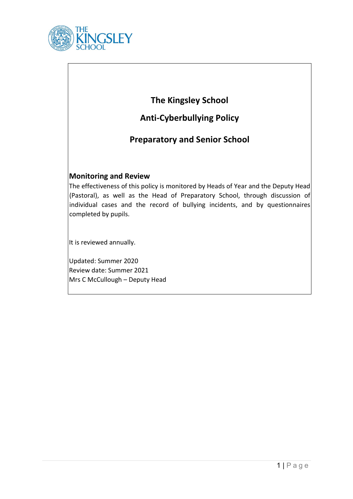

# **The Kingsley School**

# **Anti-Cyberbullying Policy**

## **Preparatory and Senior School**

### **Monitoring and Review**

The effectiveness of this policy is monitored by Heads of Year and the Deputy Head (Pastoral), as well as the Head of Preparatory School, through discussion of individual cases and the record of bullying incidents, and by questionnaires completed by pupils.

It is reviewed annually.

Updated: Summer 2020 Review date: Summer 2021 Mrs C McCullough – Deputy Head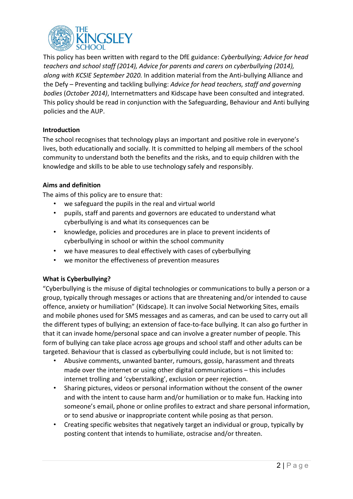

This policy has been written with regard to the DfE guidance: *Cyberbullying; Advice for head teachers and school staff (2014), Advice for parents and carers on cyberbullying (2014), along with KCSIE September 2020.* In addition material from the Anti-bullying Alliance and the Defy – Preventing and tackling bullying: *Advice for head teachers, staff and governing bodies* (*October 2014)*, Internetmatters and Kidscape have been consulted and integrated. This policy should be read in conjunction with the Safeguarding, Behaviour and Anti bullying policies and the AUP.

#### **Introduction**

The school recognises that technology plays an important and positive role in everyone's lives, both educationally and socially. It is committed to helping all members of the school community to understand both the benefits and the risks, and to equip children with the knowledge and skills to be able to use technology safely and responsibly.

#### **Aims and definition**

The aims of this policy are to ensure that:

- we safeguard the pupils in the real and virtual world
- pupils, staff and parents and governors are educated to understand what cyberbullying is and what its consequences can be
- knowledge, policies and procedures are in place to prevent incidents of cyberbullying in school or within the school community
- we have measures to deal effectively with cases of cyberbullying
- we monitor the effectiveness of prevention measures

#### **What is Cyberbullying?**

"Cyberbullying is the misuse of digital technologies or communications to bully a person or a group, typically through messages or actions that are threatening and/or intended to cause offence, anxiety or humiliation" (Kidscape). It can involve Social Networking Sites, emails and mobile phones used for SMS messages and as cameras, and can be used to carry out all the different types of bullying; an extension of face-to-face bullying. It can also go further in that it can invade home/personal space and can involve a greater number of people. This form of bullying can take place across age groups and school staff and other adults can be targeted. Behaviour that is classed as cyberbullying could include, but is not limited to:

- Abusive comments, unwanted banter, rumours, gossip, harassment and threats made over the internet or using other digital communications – this includes internet trolling and 'cyberstalking', exclusion or peer rejection.
- Sharing pictures, videos or personal information without the consent of the owner and with the intent to cause harm and/or humiliation or to make fun. Hacking into someone's email, phone or online profiles to extract and share personal information, or to send abusive or inappropriate content while posing as that person.
- Creating specific websites that negatively target an individual or group, typically by posting content that intends to humiliate, ostracise and/or threaten.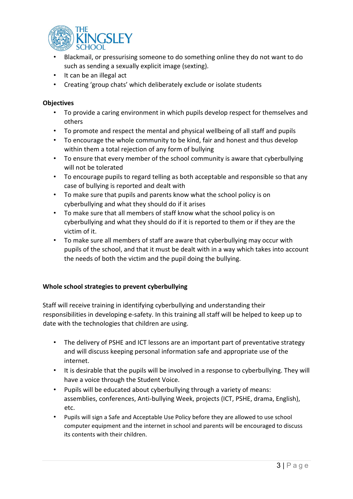

- Blackmail, or pressurising someone to do something online they do not want to do such as sending a sexually explicit image (sexting).
- It can be an illegal act
- Creating 'group chats' which deliberately exclude or isolate students

#### **Objectives**

- To provide a caring environment in which pupils develop respect for themselves and others
- To promote and respect the mental and physical wellbeing of all staff and pupils
- To encourage the whole community to be kind, fair and honest and thus develop within them a total rejection of any form of bullying
- To ensure that every member of the school community is aware that cyberbullying will not be tolerated
- To encourage pupils to regard telling as both acceptable and responsible so that any case of bullying is reported and dealt with
- To make sure that pupils and parents know what the school policy is on cyberbullying and what they should do if it arises
- To make sure that all members of staff know what the school policy is on cyberbullying and what they should do if it is reported to them or if they are the victim of it.
- To make sure all members of staff are aware that cyberbullying may occur with pupils of the school, and that it must be dealt with in a way which takes into account the needs of both the victim and the pupil doing the bullying.

#### **Whole school strategies to prevent cyberbullying**

Staff will receive training in identifying cyberbullying and understanding their responsibilities in developing e-safety. In this training all staff will be helped to keep up to date with the technologies that children are using.

- The delivery of PSHE and ICT lessons are an important part of preventative strategy and will discuss keeping personal information safe and appropriate use of the internet.
- It is desirable that the pupils will be involved in a response to cyberbullying. They will have a voice through the Student Voice.
- Pupils will be educated about cyberbullying through a variety of means: assemblies, conferences, Anti-bullying Week, projects (ICT, PSHE, drama, English), etc.
- Pupils will sign a Safe and Acceptable Use Policy before they are allowed to use school computer equipment and the internet in school and parents will be encouraged to discuss its contents with their children.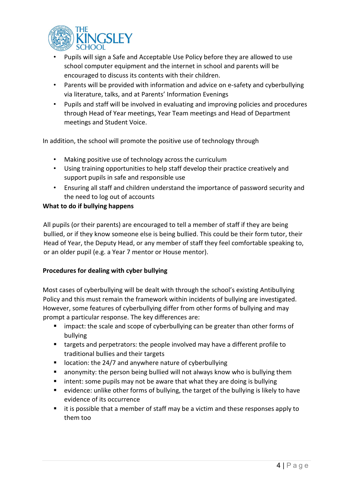

- Pupils will sign a Safe and Acceptable Use Policy before they are allowed to use school computer equipment and the internet in school and parents will be encouraged to discuss its contents with their children.
- Parents will be provided with information and advice on e-safety and cyberbullying via literature, talks, and at Parents' Information Evenings
- Pupils and staff will be involved in evaluating and improving policies and procedures through Head of Year meetings, Year Team meetings and Head of Department meetings and Student Voice.

In addition, the school will promote the positive use of technology through

- Making positive use of technology across the curriculum
- Using training opportunities to help staff develop their practice creatively and support pupils in safe and responsible use
- Ensuring all staff and children understand the importance of password security and the need to log out of accounts

#### **What to do if bullying happens**

All pupils (or their parents) are encouraged to tell a member of staff if they are being bullied, or if they know someone else is being bullied. This could be their form tutor, their Head of Year, the Deputy Head, or any member of staff they feel comfortable speaking to, or an older pupil (e.g. a Year 7 mentor or House mentor).

#### **Procedures for dealing with cyber bullying**

Most cases of cyberbullying will be dealt with through the school's existing Antibullying Policy and this must remain the framework within incidents of bullying are investigated. However, some features of cyberbullying differ from other forms of bullying and may prompt a particular response. The key differences are:

- **EXT** impact: the scale and scope of cyberbullying can be greater than other forms of bullying
- targets and perpetrators: the people involved may have a different profile to traditional bullies and their targets
- $\blacksquare$  location: the 24/7 and anywhere nature of cyberbullying
- anonymity: the person being bullied will not always know who is bullying them
- intent: some pupils may not be aware that what they are doing is bullying
- evidence: unlike other forms of bullying, the target of the bullying is likely to have evidence of its occurrence
- it is possible that a member of staff may be a victim and these responses apply to them too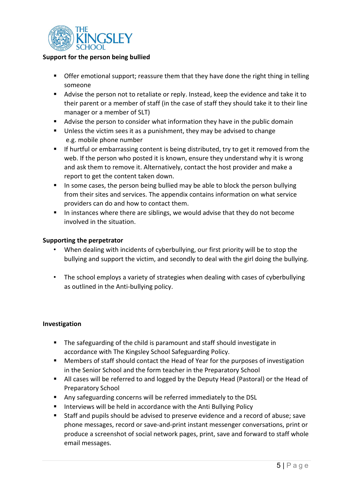

#### **Support for the person being bullied**

- **•** Offer emotional support; reassure them that they have done the right thing in telling someone
- Advise the person not to retaliate or reply. Instead, keep the evidence and take it to their parent or a member of staff (in the case of staff they should take it to their line manager or a member of SLT)
- Advise the person to consider what information they have in the public domain
- Unless the victim sees it as a punishment, they may be advised to change e.g. mobile phone number
- If hurtful or embarrassing content is being distributed, try to get it removed from the web. If the person who posted it is known, ensure they understand why it is wrong and ask them to remove it. Alternatively, contact the host provider and make a report to get the content taken down.
- In some cases, the person being bullied may be able to block the person bullying from their sites and services. The appendix contains information on what service providers can do and how to contact them.
- In instances where there are siblings, we would advise that they do not become involved in the situation.

#### **Supporting the perpetrator**

- When dealing with incidents of cyberbullying, our first priority will be to stop the bullying and support the victim, and secondly to deal with the girl doing the bullying.
- The school employs a variety of strategies when dealing with cases of cyberbullying as outlined in the Anti-bullying policy.

#### **Investigation**

- The safeguarding of the child is paramount and staff should investigate in accordance with The Kingsley School Safeguarding Policy.
- Members of staff should contact the Head of Year for the purposes of investigation in the Senior School and the form teacher in the Preparatory School
- All cases will be referred to and logged by the Deputy Head (Pastoral) or the Head of Preparatory School
- Any safeguarding concerns will be referred immediately to the DSL
- **IF Interviews will be held in accordance with the Anti Bullying Policy**
- Staff and pupils should be advised to preserve evidence and a record of abuse; save phone messages, record or save-and-print instant messenger conversations, print or produce a screenshot of social network pages, print, save and forward to staff whole email messages.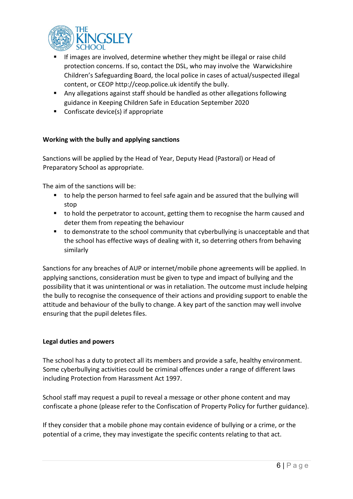

- If images are involved, determine whether they might be illegal or raise child protection concerns. If so, contact the DSL, who may involve the Warwickshire Children's Safeguarding Board, the local police in cases of actual/suspected illegal content, or CEOP http://ceop.police.uk identify the bully.
- Any allegations against staff should be handled as other allegations following guidance in Keeping Children Safe in Education September 2020
- Confiscate device(s) if appropriate

#### **Working with the bully and applying sanctions**

Sanctions will be applied by the Head of Year, Deputy Head (Pastoral) or Head of Preparatory School as appropriate.

The aim of the sanctions will be:

- to help the person harmed to feel safe again and be assured that the bullying will stop
- to hold the perpetrator to account, getting them to recognise the harm caused and deter them from repeating the behaviour
- **to demonstrate to the school community that cyberbullying is unacceptable and that** the school has effective ways of dealing with it, so deterring others from behaving similarly

Sanctions for any breaches of AUP or internet/mobile phone agreements will be applied. In applying sanctions, consideration must be given to type and impact of bullying and the possibility that it was unintentional or was in retaliation. The outcome must include helping the bully to recognise the consequence of their actions and providing support to enable the attitude and behaviour of the bully to change. A key part of the sanction may well involve ensuring that the pupil deletes files.

#### **Legal duties and powers**

The school has a duty to protect all its members and provide a safe, healthy environment. Some cyberbullying activities could be criminal offences under a range of different laws including Protection from Harassment Act 1997.

School staff may request a pupil to reveal a message or other phone content and may confiscate a phone (please refer to the Confiscation of Property Policy for further guidance).

If they consider that a mobile phone may contain evidence of bullying or a crime, or the potential of a crime, they may investigate the specific contents relating to that act.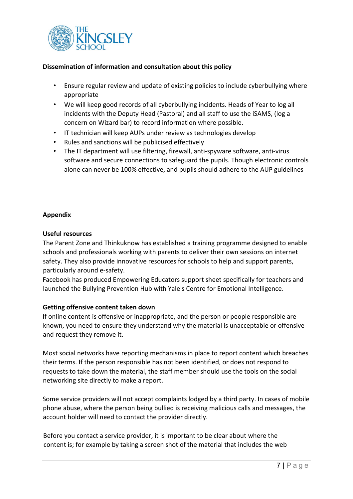

#### **Dissemination of information and consultation about this policy**

- Ensure regular review and update of existing policies to include cyberbullying where appropriate
- We will keep good records of all cyberbullying incidents. Heads of Year to log all incidents with the Deputy Head (Pastoral) and all staff to use the iSAMS, (log a concern on Wizard bar) to record information where possible.
- IT technician will keep AUPs under review as technologies develop
- Rules and sanctions will be publicised effectively
- The IT department will use filtering, firewall, anti-spyware software, anti-virus software and secure connections to safeguard the pupils. Though electronic controls alone can never be 100% effective, and pupils should adhere to the AUP guidelines

#### **Appendix**

#### **Useful resources**

The Parent Zone and Thinkuknow has established a training programme designed to enable schools and professionals working with parents to deliver their own sessions on internet safety. They also provide innovative resources for schools to help and support parents, particularly around e-safety.

Facebook has produced Empowering Educators support sheet specifically for teachers and launched the Bullying Prevention Hub with Yale's Centre for Emotional Intelligence.

#### **Getting offensive content taken down**

If online content is offensive or inappropriate, and the person or people responsible are known, you need to ensure they understand why the material is unacceptable or offensive and request they remove it.

Most social networks have reporting mechanisms in place to report content which breaches their terms. If the person responsible has not been identified, or does not respond to requests to take down the material, the staff member should use the tools on the social networking site directly to make a report.

Some service providers will not accept complaints lodged by a third party. In cases of mobile phone abuse, where the person being bullied is receiving malicious calls and messages, the account holder will need to contact the provider directly.

Before you contact a service provider, it is important to be clear about where the content is; for example by taking a screen shot of the material that includes the web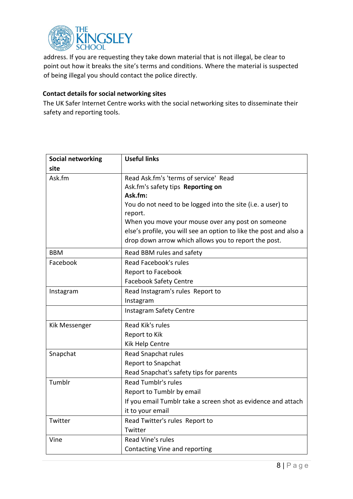

address. If you are requesting they take down material that is not illegal, be clear to point out how it breaks the site's terms and conditions. Where the material is suspected of being illegal you should contact the police directly.

#### **Contact details for social networking sites**

The UK Safer Internet Centre works with the social networking sites to disseminate their safety and reporting tools.

| <b>Social networking</b> | <b>Useful links</b>                                                    |  |  |
|--------------------------|------------------------------------------------------------------------|--|--|
| site                     |                                                                        |  |  |
| Ask.fm                   | Read Ask.fm's 'terms of service' Read                                  |  |  |
|                          | Ask.fm's safety tips Reporting on                                      |  |  |
|                          | Ask.fm:                                                                |  |  |
|                          | You do not need to be logged into the site (i.e. a user) to<br>report. |  |  |
|                          | When you move your mouse over any post on someone                      |  |  |
|                          | else's profile, you will see an option to like the post and also a     |  |  |
|                          | drop down arrow which allows you to report the post.                   |  |  |
| <b>BBM</b>               | Read BBM rules and safety                                              |  |  |
| Facebook                 | Read Facebook's rules                                                  |  |  |
|                          | Report to Facebook                                                     |  |  |
|                          | <b>Facebook Safety Centre</b>                                          |  |  |
| Instagram                | Read Instagram's rules Report to                                       |  |  |
|                          | Instagram                                                              |  |  |
|                          | Instagram Safety Centre                                                |  |  |
| <b>Kik Messenger</b>     | Read Kik's rules                                                       |  |  |
|                          | Report to Kik                                                          |  |  |
|                          | Kik Help Centre                                                        |  |  |
| Snapchat                 | Read Snapchat rules                                                    |  |  |
|                          | <b>Report to Snapchat</b>                                              |  |  |
|                          | Read Snapchat's safety tips for parents                                |  |  |
| Tumblr                   | <b>Read Tumblr's rules</b>                                             |  |  |
|                          | Report to Tumblr by email                                              |  |  |
|                          | If you email Tumblr take a screen shot as evidence and attach          |  |  |
|                          | it to your email                                                       |  |  |
| Twitter                  | Read Twitter's rules Report to                                         |  |  |
|                          | Twitter                                                                |  |  |
| Vine                     | Read Vine's rules                                                      |  |  |
|                          | Contacting Vine and reporting                                          |  |  |